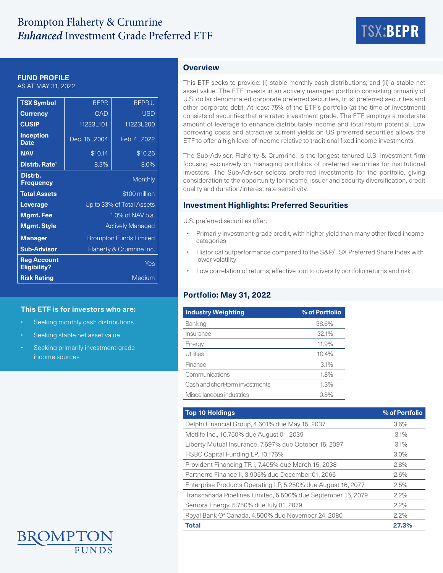# Brompton Flaherty & Crumrine *Enhanced* Investment Grade Preferred ETF TSX:**BEPR**



## **FUND PROFILE**

AS AT MAY 31, 2022

| <b>TSX Symbol</b>                         | <b>BEPR</b>                   | <b>BEPR.U</b> |  |  |  |
|-------------------------------------------|-------------------------------|---------------|--|--|--|
| <b>Currency</b>                           | CAD                           | <b>USD</b>    |  |  |  |
| <b>CUSIP</b>                              | 11223L101                     | 11223L200     |  |  |  |
| <b>Inception</b><br><b>Date</b>           | Dec. 15, 2004                 | Feb. 4, 2022  |  |  |  |
| <b>NAV</b>                                | \$10.14                       | \$10.26       |  |  |  |
| Distrb. Rate <sup>1</sup>                 | 8.3%                          | 8.0%          |  |  |  |
| Distrb.<br><b>Frequency</b>               |                               | Monthly       |  |  |  |
| <b>Total Assets</b>                       | \$100 million                 |               |  |  |  |
| Leverage                                  | Up to 33% of Total Assets     |               |  |  |  |
| <b>Mgmt. Fee</b>                          | 1.0% of NAV p.a.              |               |  |  |  |
| <b>Mgmt. Style</b>                        | <b>Actively Managed</b>       |               |  |  |  |
| <b>Manager</b>                            | <b>Brompton Funds Limited</b> |               |  |  |  |
| <b>Sub-Advisor</b>                        | Flaherty & Crumrine Inc.      |               |  |  |  |
| <b>Reg Account</b><br><b>Eligibility?</b> | Yes                           |               |  |  |  |
| <b>Risk Rating</b>                        | Medium                        |               |  |  |  |

#### **This ETF is for investors who are:**

- Seeking monthly cash distributions
- Seeking stable net asset value
- Seeking primarily investment-grade income sources

# **Overview**

This ETF seeks to provide: (i) stable monthly cash distributions; and (ii) a stable net asset value. The ETF invests in an actively managed portfolio consisting primarily of U.S. dollar denominated corporate preferred securities, trust preferred securities and other corporate debt. At least 75% of the ETF's portfolio (at the time of investment) consists of securities that are rated investment grade. The ETF employs a moderate amount of leverage to enhance distributable income and total return potential. Low borrowing costs and attractive current yields on US preferred securities allows the ETF to offer a high level of income relative to traditional fixed income investments.

The Sub-Advisor, Flaherty & Crumrine, is the longest tenured U.S. investment firm focusing exclusively on managing portfolios of preferred securities for institutional investors. The Sub-Advisor selects preferred investments for the portfolio, giving consideration to the opportunity for income, issuer and security diversification, credit quality and duration/interest rate sensitivity.

## **Investment Highlights: Preferred Securities**

U.S. preferred securities offer:

- Primarily investment-grade credit, with higher yield than many other fixed income categories
- Historical outperformance compared to the S&P/TSX Preferred Share Index with lower volatility
- Low correlation of returns; effective tool to diversify portfolio returns and risk

# **Portfolio: May 31, 2022**

| <b>Industry Weighting</b>       | % of Portfolio |  |  |
|---------------------------------|----------------|--|--|
| Banking                         | 38.6%          |  |  |
| Insurance                       | 32.1%          |  |  |
| Energy                          | 11.9%          |  |  |
| Utilities                       | 10.4%          |  |  |
| Finance                         | 3.1%           |  |  |
| Communications                  | 1.8%           |  |  |
| Cash and short-term investments | 1.3%           |  |  |
| Miscellaneous industries        | 0.8%           |  |  |

| <b>Top 10 Holdings</b>                                       | % of Portfolio |
|--------------------------------------------------------------|----------------|
| Delphi Financial Group, 4.601% due May 15, 2037              | 3.6%           |
| Metlife Inc., 10.750% due August 01, 2039                    | 3.1%           |
| Liberty Mutual Insurance, 7.697% due October 15, 2097        | 3.1%           |
| HSBC Capital Funding LP, 10.176%                             | $3.0\%$        |
| Provident Financing TR I, 7.405% due March 15, 2038          | 2.8%           |
| Partnerre Finance II, 3.905% due December 01, 2066           | 2.6%           |
| Enterprise Products Operating LP, 5.250% due August 16, 2077 | 2.5%           |
| Transcanada Pipelines Limited, 5.500% due September 15, 2079 | 2.2%           |
| Sempra Energy, 5.750% due July 01, 2079                      | 2.2%           |
| Royal Bank Of Canada, 4.500% due November 24, 2080           | 2.2%           |
| <b>Total</b>                                                 | 27.3%          |